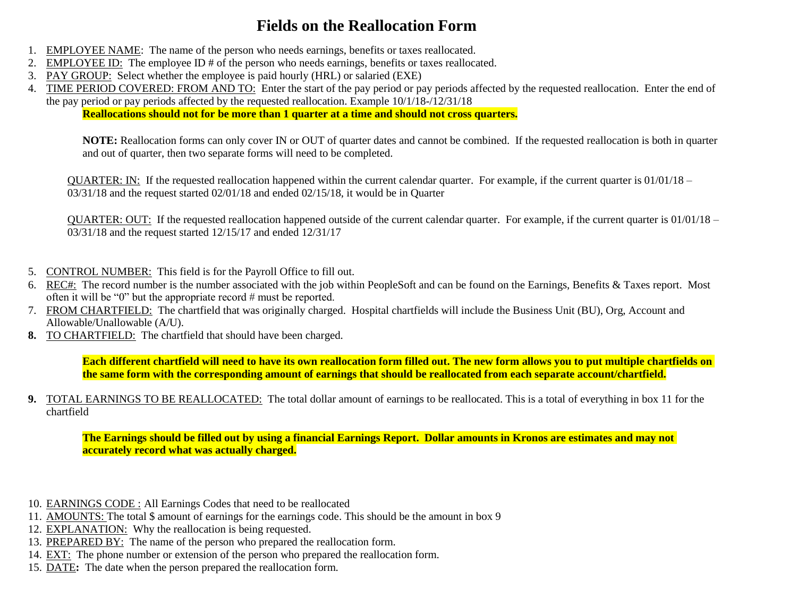## **Fields on the Reallocation Form**

- 1. EMPLOYEE NAME: The name of the person who needs earnings, benefits or taxes reallocated.
- 2. EMPLOYEE ID: The employee ID # of the person who needs earnings, benefits or taxes reallocated.
- 3. PAY GROUP: Select whether the employee is paid hourly (HRL) or salaried (EXE)
- 4. TIME PERIOD COVERED: FROM AND TO: Enter the start of the pay period or pay periods affected by the requested reallocation. Enter the end of the pay period or pay periods affected by the requested reallocation. Example 10/1/18-/12/31/18

**Reallocations should not for be more than 1 quarter at a time and should not cross quarters.**

**NOTE:** Reallocation forms can only cover IN or OUT of quarter dates and cannot be combined. If the requested reallocation is both in quarter and out of quarter, then two separate forms will need to be completed.

 $QUARTER: IN:$  If the requested reallocation happened within the current calendar quarter. For example, if the current quarter is  $01/01/18$  – 03/31/18 and the request started 02/01/18 and ended 02/15/18, it would be in Quarter

QUARTER: OUT: If the requested reallocation happened outside of the current calendar quarter. For example, if the current quarter is 01/01/18 – 03/31/18 and the request started 12/15/17 and ended 12/31/17

- 5. CONTROL NUMBER: This field is for the Payroll Office to fill out.
- 6. REC#: The record number is the number associated with the job within PeopleSoft and can be found on the Earnings, Benefits & Taxes report. Most often it will be "0" but the appropriate record # must be reported.
- 7. FROM CHARTFIELD: The chartfield that was originally charged. Hospital chartfields will include the Business Unit (BU), Org, Account and Allowable/Unallowable (A/U).
- **8.** TO CHARTFIELD: The chartfield that should have been charged.

**Each different chartfield will need to have its own reallocation form filled out. The new form allows you to put multiple chartfields on the same form with the corresponding amount of earnings that should be reallocated from each separate account/chartfield.**

**9.** TOTAL EARNINGS TO BE REALLOCATED: The total dollar amount of earnings to be reallocated. This is a total of everything in box 11 for the chartfield

**The Earnings should be filled out by using a financial Earnings Report. Dollar amounts in Kronos are estimates and may not accurately record what was actually charged.**

- 10. EARNINGS CODE : All Earnings Codes that need to be reallocated
- 11. AMOUNTS: The total \$ amount of earnings for the earnings code. This should be the amount in box 9
- 12. EXPLANATION: Why the reallocation is being requested.
- 13. PREPARED BY: The name of the person who prepared the reallocation form.
- 14. EXT: The phone number or extension of the person who prepared the reallocation form.
- 15. DATE**:** The date when the person prepared the reallocation form.